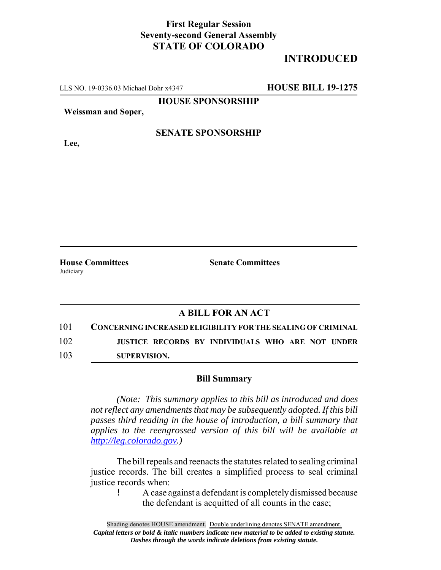## **First Regular Session Seventy-second General Assembly STATE OF COLORADO**

# **INTRODUCED**

LLS NO. 19-0336.03 Michael Dohr x4347 **HOUSE BILL 19-1275**

**HOUSE SPONSORSHIP**

**Weissman and Soper,**

#### **SENATE SPONSORSHIP**

**House Committees Senate Committees**

**Judiciary** 

**Lee,**

### **A BILL FOR AN ACT**

101 **CONCERNING INCREASED ELIGIBILITY FOR THE SEALING OF CRIMINAL**

102 **JUSTICE RECORDS BY INDIVIDUALS WHO ARE NOT UNDER**

103 **SUPERVISION.**

#### **Bill Summary**

*(Note: This summary applies to this bill as introduced and does not reflect any amendments that may be subsequently adopted. If this bill passes third reading in the house of introduction, a bill summary that applies to the reengrossed version of this bill will be available at http://leg.colorado.gov.)*

The bill repeals and reenacts the statutes related to sealing criminal justice records. The bill creates a simplified process to seal criminal justice records when:

> ! A case against a defendant is completely dismissed because the defendant is acquitted of all counts in the case;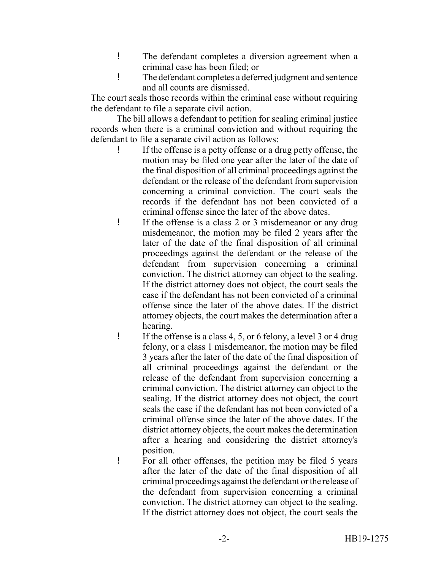- ! The defendant completes a diversion agreement when a criminal case has been filed; or
- ! The defendant completes a deferred judgment and sentence and all counts are dismissed.

The court seals those records within the criminal case without requiring the defendant to file a separate civil action.

The bill allows a defendant to petition for sealing criminal justice records when there is a criminal conviction and without requiring the defendant to file a separate civil action as follows:

- ! If the offense is a petty offense or a drug petty offense, the motion may be filed one year after the later of the date of the final disposition of all criminal proceedings against the defendant or the release of the defendant from supervision concerning a criminal conviction. The court seals the records if the defendant has not been convicted of a criminal offense since the later of the above dates.
- ! If the offense is a class 2 or 3 misdemeanor or any drug misdemeanor, the motion may be filed 2 years after the later of the date of the final disposition of all criminal proceedings against the defendant or the release of the defendant from supervision concerning a criminal conviction. The district attorney can object to the sealing. If the district attorney does not object, the court seals the case if the defendant has not been convicted of a criminal offense since the later of the above dates. If the district attorney objects, the court makes the determination after a hearing.
- ! If the offense is a class 4, 5, or 6 felony, a level 3 or 4 drug felony, or a class 1 misdemeanor, the motion may be filed 3 years after the later of the date of the final disposition of all criminal proceedings against the defendant or the release of the defendant from supervision concerning a criminal conviction. The district attorney can object to the sealing. If the district attorney does not object, the court seals the case if the defendant has not been convicted of a criminal offense since the later of the above dates. If the district attorney objects, the court makes the determination after a hearing and considering the district attorney's position.
- ! For all other offenses, the petition may be filed 5 years after the later of the date of the final disposition of all criminal proceedings against the defendant or the release of the defendant from supervision concerning a criminal conviction. The district attorney can object to the sealing. If the district attorney does not object, the court seals the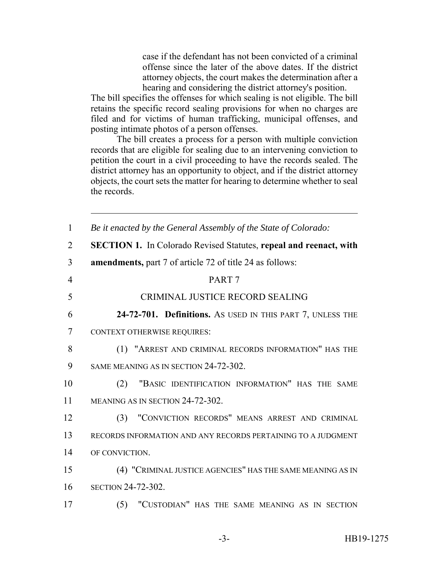case if the defendant has not been convicted of a criminal offense since the later of the above dates. If the district attorney objects, the court makes the determination after a hearing and considering the district attorney's position.

The bill specifies the offenses for which sealing is not eligible. The bill retains the specific record sealing provisions for when no charges are filed and for victims of human trafficking, municipal offenses, and posting intimate photos of a person offenses.

The bill creates a process for a person with multiple conviction records that are eligible for sealing due to an intervening conviction to petition the court in a civil proceeding to have the records sealed. The district attorney has an opportunity to object, and if the district attorney objects, the court sets the matter for hearing to determine whether to seal the records.

| $\mathbf{1}$   | Be it enacted by the General Assembly of the State of Colorado:          |
|----------------|--------------------------------------------------------------------------|
| $\overline{2}$ | <b>SECTION 1.</b> In Colorado Revised Statutes, repeal and reenact, with |
| 3              | <b>amendments, part</b> 7 of article 72 of title 24 as follows:          |
| $\overline{4}$ | PART <sub>7</sub>                                                        |
| 5              | CRIMINAL JUSTICE RECORD SEALING                                          |
| 6              | 24-72-701. Definitions. As USED IN THIS PART 7, UNLESS THE               |
| 7              | <b>CONTEXT OTHERWISE REQUIRES:</b>                                       |
| 8              | (1) "ARREST AND CRIMINAL RECORDS INFORMATION" HAS THE                    |
| 9              | SAME MEANING AS IN SECTION 24-72-302.                                    |
| 10             | "BASIC IDENTIFICATION INFORMATION" HAS THE SAME<br>(2)                   |
| 11             | MEANING AS IN SECTION 24-72-302.                                         |
| 12             | "CONVICTION RECORDS" MEANS ARREST AND CRIMINAL<br>(3)                    |
| 13             | RECORDS INFORMATION AND ANY RECORDS PERTAINING TO A JUDGMENT             |
| 14             | OF CONVICTION.                                                           |
| 15             | (4) "CRIMINAL JUSTICE AGENCIES" HAS THE SAME MEANING AS IN               |
| 16             | <b>SECTION 24-72-302.</b>                                                |
| 17             | "CUSTODIAN" HAS THE SAME MEANING AS IN SECTION<br>(5)                    |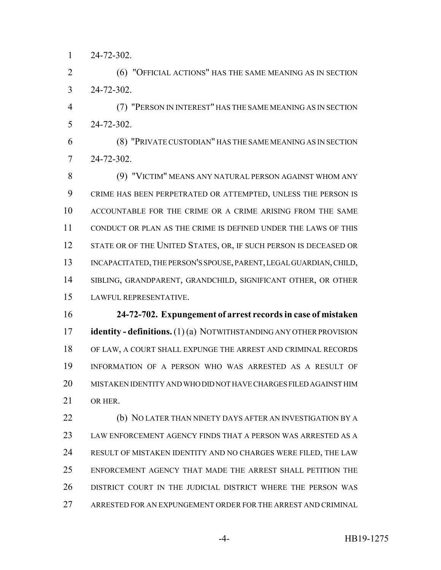24-72-302.

 (6) "OFFICIAL ACTIONS" HAS THE SAME MEANING AS IN SECTION 24-72-302.

 (7) "PERSON IN INTEREST" HAS THE SAME MEANING AS IN SECTION 24-72-302.

 (8) "PRIVATE CUSTODIAN" HAS THE SAME MEANING AS IN SECTION 24-72-302.

 (9) "VICTIM" MEANS ANY NATURAL PERSON AGAINST WHOM ANY CRIME HAS BEEN PERPETRATED OR ATTEMPTED, UNLESS THE PERSON IS ACCOUNTABLE FOR THE CRIME OR A CRIME ARISING FROM THE SAME CONDUCT OR PLAN AS THE CRIME IS DEFINED UNDER THE LAWS OF THIS 12 STATE OR OF THE UNITED STATES, OR, IF SUCH PERSON IS DECEASED OR 13 INCAPACITATED, THE PERSON'S SPOUSE, PARENT, LEGAL GUARDIAN, CHILD, SIBLING, GRANDPARENT, GRANDCHILD, SIGNIFICANT OTHER, OR OTHER LAWFUL REPRESENTATIVE.

 **24-72-702. Expungement of arrest records in case of mistaken identity - definitions.** (1) (a) NOTWITHSTANDING ANY OTHER PROVISION OF LAW, A COURT SHALL EXPUNGE THE ARREST AND CRIMINAL RECORDS INFORMATION OF A PERSON WHO WAS ARRESTED AS A RESULT OF MISTAKEN IDENTITY AND WHO DID NOT HAVE CHARGES FILED AGAINST HIM OR HER.

 (b) NO LATER THAN NINETY DAYS AFTER AN INVESTIGATION BY A LAW ENFORCEMENT AGENCY FINDS THAT A PERSON WAS ARRESTED AS A RESULT OF MISTAKEN IDENTITY AND NO CHARGES WERE FILED, THE LAW ENFORCEMENT AGENCY THAT MADE THE ARREST SHALL PETITION THE DISTRICT COURT IN THE JUDICIAL DISTRICT WHERE THE PERSON WAS ARRESTED FOR AN EXPUNGEMENT ORDER FOR THE ARREST AND CRIMINAL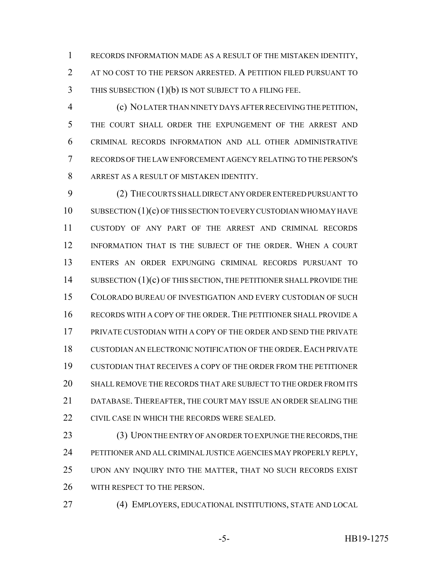RECORDS INFORMATION MADE AS A RESULT OF THE MISTAKEN IDENTITY, AT NO COST TO THE PERSON ARRESTED. A PETITION FILED PURSUANT TO THIS SUBSECTION (1)(b) IS NOT SUBJECT TO A FILING FEE.

 (c) NO LATER THAN NINETY DAYS AFTER RECEIVING THE PETITION, THE COURT SHALL ORDER THE EXPUNGEMENT OF THE ARREST AND CRIMINAL RECORDS INFORMATION AND ALL OTHER ADMINISTRATIVE RECORDS OF THE LAW ENFORCEMENT AGENCY RELATING TO THE PERSON'S ARREST AS A RESULT OF MISTAKEN IDENTITY.

 (2) THE COURTS SHALL DIRECT ANY ORDER ENTERED PURSUANT TO 10 SUBSECTION (1)(c) OF THIS SECTION TO EVERY CUSTODIAN WHO MAY HAVE CUSTODY OF ANY PART OF THE ARREST AND CRIMINAL RECORDS INFORMATION THAT IS THE SUBJECT OF THE ORDER. WHEN A COURT ENTERS AN ORDER EXPUNGING CRIMINAL RECORDS PURSUANT TO 14 SUBSECTION (1)(c) OF THIS SECTION, THE PETITIONER SHALL PROVIDE THE COLORADO BUREAU OF INVESTIGATION AND EVERY CUSTODIAN OF SUCH RECORDS WITH A COPY OF THE ORDER. THE PETITIONER SHALL PROVIDE A PRIVATE CUSTODIAN WITH A COPY OF THE ORDER AND SEND THE PRIVATE 18 CUSTODIAN AN ELECTRONIC NOTIFICATION OF THE ORDER. EACH PRIVATE CUSTODIAN THAT RECEIVES A COPY OF THE ORDER FROM THE PETITIONER SHALL REMOVE THE RECORDS THAT ARE SUBJECT TO THE ORDER FROM ITS DATABASE. THEREAFTER, THE COURT MAY ISSUE AN ORDER SEALING THE CIVIL CASE IN WHICH THE RECORDS WERE SEALED.

23 (3) UPON THE ENTRY OF AN ORDER TO EXPUNGE THE RECORDS, THE PETITIONER AND ALL CRIMINAL JUSTICE AGENCIES MAY PROPERLY REPLY, UPON ANY INQUIRY INTO THE MATTER, THAT NO SUCH RECORDS EXIST WITH RESPECT TO THE PERSON.

(4) EMPLOYERS, EDUCATIONAL INSTITUTIONS, STATE AND LOCAL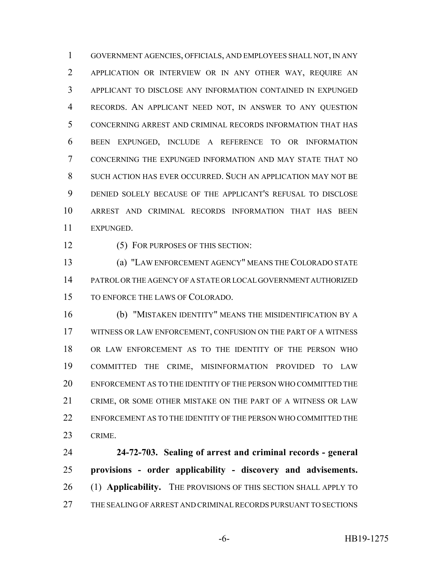GOVERNMENT AGENCIES, OFFICIALS, AND EMPLOYEES SHALL NOT, IN ANY APPLICATION OR INTERVIEW OR IN ANY OTHER WAY, REQUIRE AN APPLICANT TO DISCLOSE ANY INFORMATION CONTAINED IN EXPUNGED RECORDS. AN APPLICANT NEED NOT, IN ANSWER TO ANY QUESTION CONCERNING ARREST AND CRIMINAL RECORDS INFORMATION THAT HAS BEEN EXPUNGED, INCLUDE A REFERENCE TO OR INFORMATION CONCERNING THE EXPUNGED INFORMATION AND MAY STATE THAT NO SUCH ACTION HAS EVER OCCURRED. SUCH AN APPLICATION MAY NOT BE DENIED SOLELY BECAUSE OF THE APPLICANT'S REFUSAL TO DISCLOSE ARREST AND CRIMINAL RECORDS INFORMATION THAT HAS BEEN EXPUNGED.

12 (5) FOR PURPOSES OF THIS SECTION:

 (a) "LAW ENFORCEMENT AGENCY" MEANS THE COLORADO STATE PATROL OR THE AGENCY OF A STATE OR LOCAL GOVERNMENT AUTHORIZED TO ENFORCE THE LAWS OF COLORADO.

 (b) "MISTAKEN IDENTITY" MEANS THE MISIDENTIFICATION BY A WITNESS OR LAW ENFORCEMENT, CONFUSION ON THE PART OF A WITNESS OR LAW ENFORCEMENT AS TO THE IDENTITY OF THE PERSON WHO COMMITTED THE CRIME, MISINFORMATION PROVIDED TO LAW ENFORCEMENT AS TO THE IDENTITY OF THE PERSON WHO COMMITTED THE CRIME, OR SOME OTHER MISTAKE ON THE PART OF A WITNESS OR LAW 22 ENFORCEMENT AS TO THE IDENTITY OF THE PERSON WHO COMMITTED THE CRIME.

 **24-72-703. Sealing of arrest and criminal records - general provisions - order applicability - discovery and advisements.** (1) **Applicability.** THE PROVISIONS OF THIS SECTION SHALL APPLY TO THE SEALING OF ARREST AND CRIMINAL RECORDS PURSUANT TO SECTIONS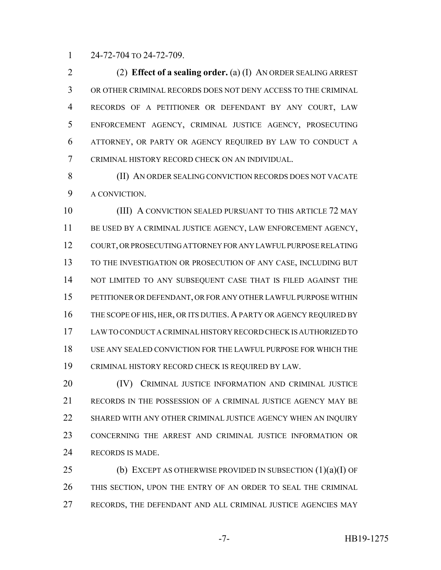24-72-704 TO 24-72-709.

 (2) **Effect of a sealing order.** (a) (I) AN ORDER SEALING ARREST OR OTHER CRIMINAL RECORDS DOES NOT DENY ACCESS TO THE CRIMINAL RECORDS OF A PETITIONER OR DEFENDANT BY ANY COURT, LAW ENFORCEMENT AGENCY, CRIMINAL JUSTICE AGENCY, PROSECUTING ATTORNEY, OR PARTY OR AGENCY REQUIRED BY LAW TO CONDUCT A CRIMINAL HISTORY RECORD CHECK ON AN INDIVIDUAL.

 (II) AN ORDER SEALING CONVICTION RECORDS DOES NOT VACATE A CONVICTION.

 (III) A CONVICTION SEALED PURSUANT TO THIS ARTICLE 72 MAY BE USED BY A CRIMINAL JUSTICE AGENCY, LAW ENFORCEMENT AGENCY, COURT, OR PROSECUTING ATTORNEY FOR ANY LAWFUL PURPOSE RELATING TO THE INVESTIGATION OR PROSECUTION OF ANY CASE, INCLUDING BUT 14 NOT LIMITED TO ANY SUBSEQUENT CASE THAT IS FILED AGAINST THE PETITIONER OR DEFENDANT, OR FOR ANY OTHER LAWFUL PURPOSE WITHIN THE SCOPE OF HIS, HER, OR ITS DUTIES. A PARTY OR AGENCY REQUIRED BY LAW TO CONDUCT A CRIMINAL HISTORY RECORD CHECK IS AUTHORIZED TO USE ANY SEALED CONVICTION FOR THE LAWFUL PURPOSE FOR WHICH THE CRIMINAL HISTORY RECORD CHECK IS REQUIRED BY LAW.

**(IV)** CRIMINAL JUSTICE INFORMATION AND CRIMINAL JUSTICE RECORDS IN THE POSSESSION OF A CRIMINAL JUSTICE AGENCY MAY BE SHARED WITH ANY OTHER CRIMINAL JUSTICE AGENCY WHEN AN INQUIRY CONCERNING THE ARREST AND CRIMINAL JUSTICE INFORMATION OR RECORDS IS MADE.

25 (b) EXCEPT AS OTHERWISE PROVIDED IN SUBSECTION  $(1)(a)(I)$  OF THIS SECTION, UPON THE ENTRY OF AN ORDER TO SEAL THE CRIMINAL RECORDS, THE DEFENDANT AND ALL CRIMINAL JUSTICE AGENCIES MAY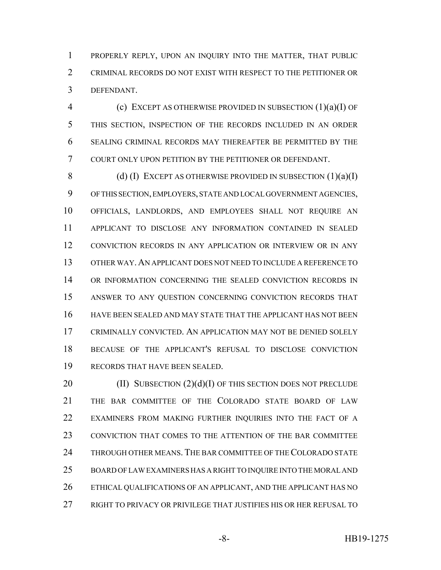PROPERLY REPLY, UPON AN INQUIRY INTO THE MATTER, THAT PUBLIC CRIMINAL RECORDS DO NOT EXIST WITH RESPECT TO THE PETITIONER OR DEFENDANT.

 (c) EXCEPT AS OTHERWISE PROVIDED IN SUBSECTION (1)(a)(I) OF THIS SECTION, INSPECTION OF THE RECORDS INCLUDED IN AN ORDER SEALING CRIMINAL RECORDS MAY THEREAFTER BE PERMITTED BY THE COURT ONLY UPON PETITION BY THE PETITIONER OR DEFENDANT.

8 (d) (I) EXCEPT AS OTHERWISE PROVIDED IN SUBSECTION  $(1)(a)(I)$  OF THIS SECTION, EMPLOYERS, STATE AND LOCAL GOVERNMENT AGENCIES, OFFICIALS, LANDLORDS, AND EMPLOYEES SHALL NOT REQUIRE AN APPLICANT TO DISCLOSE ANY INFORMATION CONTAINED IN SEALED CONVICTION RECORDS IN ANY APPLICATION OR INTERVIEW OR IN ANY OTHER WAY.AN APPLICANT DOES NOT NEED TO INCLUDE A REFERENCE TO OR INFORMATION CONCERNING THE SEALED CONVICTION RECORDS IN ANSWER TO ANY QUESTION CONCERNING CONVICTION RECORDS THAT HAVE BEEN SEALED AND MAY STATE THAT THE APPLICANT HAS NOT BEEN CRIMINALLY CONVICTED. AN APPLICATION MAY NOT BE DENIED SOLELY BECAUSE OF THE APPLICANT'S REFUSAL TO DISCLOSE CONVICTION RECORDS THAT HAVE BEEN SEALED.

 $(II)$  SUBSECTION  $(2)(d)(I)$  OF THIS SECTION DOES NOT PRECLUDE THE BAR COMMITTEE OF THE COLORADO STATE BOARD OF LAW EXAMINERS FROM MAKING FURTHER INQUIRIES INTO THE FACT OF A CONVICTION THAT COMES TO THE ATTENTION OF THE BAR COMMITTEE THROUGH OTHER MEANS. THE BAR COMMITTEE OF THE COLORADO STATE BOARD OF LAW EXAMINERS HAS A RIGHT TO INQUIRE INTO THE MORAL AND ETHICAL QUALIFICATIONS OF AN APPLICANT, AND THE APPLICANT HAS NO RIGHT TO PRIVACY OR PRIVILEGE THAT JUSTIFIES HIS OR HER REFUSAL TO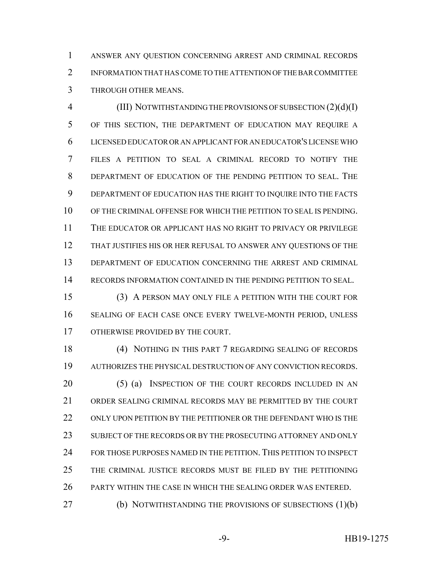ANSWER ANY QUESTION CONCERNING ARREST AND CRIMINAL RECORDS INFORMATION THAT HAS COME TO THE ATTENTION OF THE BAR COMMITTEE THROUGH OTHER MEANS.

 (III) NOTWITHSTANDING THE PROVISIONS OF SUBSECTION (2)(d)(I) OF THIS SECTION, THE DEPARTMENT OF EDUCATION MAY REQUIRE A LICENSED EDUCATOR OR AN APPLICANT FOR AN EDUCATOR'S LICENSE WHO FILES A PETITION TO SEAL A CRIMINAL RECORD TO NOTIFY THE DEPARTMENT OF EDUCATION OF THE PENDING PETITION TO SEAL. THE DEPARTMENT OF EDUCATION HAS THE RIGHT TO INQUIRE INTO THE FACTS OF THE CRIMINAL OFFENSE FOR WHICH THE PETITION TO SEAL IS PENDING. THE EDUCATOR OR APPLICANT HAS NO RIGHT TO PRIVACY OR PRIVILEGE THAT JUSTIFIES HIS OR HER REFUSAL TO ANSWER ANY QUESTIONS OF THE DEPARTMENT OF EDUCATION CONCERNING THE ARREST AND CRIMINAL RECORDS INFORMATION CONTAINED IN THE PENDING PETITION TO SEAL.

 (3) A PERSON MAY ONLY FILE A PETITION WITH THE COURT FOR SEALING OF EACH CASE ONCE EVERY TWELVE-MONTH PERIOD, UNLESS OTHERWISE PROVIDED BY THE COURT.

 (4) NOTHING IN THIS PART 7 REGARDING SEALING OF RECORDS AUTHORIZES THE PHYSICAL DESTRUCTION OF ANY CONVICTION RECORDS. 20 (5) (a) INSPECTION OF THE COURT RECORDS INCLUDED IN AN ORDER SEALING CRIMINAL RECORDS MAY BE PERMITTED BY THE COURT 22 ONLY UPON PETITION BY THE PETITIONER OR THE DEFENDANT WHO IS THE SUBJECT OF THE RECORDS OR BY THE PROSECUTING ATTORNEY AND ONLY FOR THOSE PURPOSES NAMED IN THE PETITION. THIS PETITION TO INSPECT THE CRIMINAL JUSTICE RECORDS MUST BE FILED BY THE PETITIONING PARTY WITHIN THE CASE IN WHICH THE SEALING ORDER WAS ENTERED. (b) NOTWITHSTANDING THE PROVISIONS OF SUBSECTIONS (1)(b)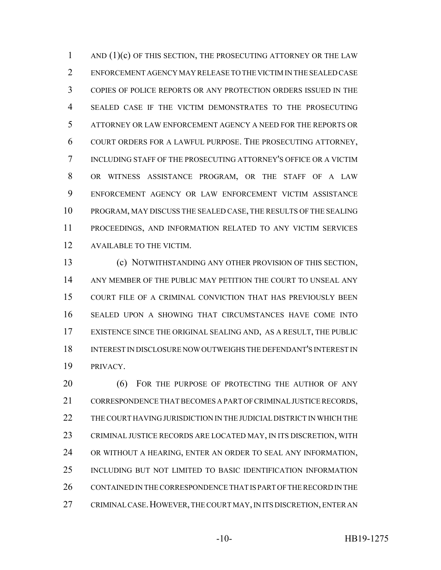1 AND (1)(c) OF THIS SECTION, THE PROSECUTING ATTORNEY OR THE LAW ENFORCEMENT AGENCY MAY RELEASE TO THE VICTIM IN THE SEALED CASE COPIES OF POLICE REPORTS OR ANY PROTECTION ORDERS ISSUED IN THE SEALED CASE IF THE VICTIM DEMONSTRATES TO THE PROSECUTING ATTORNEY OR LAW ENFORCEMENT AGENCY A NEED FOR THE REPORTS OR COURT ORDERS FOR A LAWFUL PURPOSE. THE PROSECUTING ATTORNEY, INCLUDING STAFF OF THE PROSECUTING ATTORNEY'S OFFICE OR A VICTIM OR WITNESS ASSISTANCE PROGRAM, OR THE STAFF OF A LAW ENFORCEMENT AGENCY OR LAW ENFORCEMENT VICTIM ASSISTANCE PROGRAM, MAY DISCUSS THE SEALED CASE, THE RESULTS OF THE SEALING PROCEEDINGS, AND INFORMATION RELATED TO ANY VICTIM SERVICES AVAILABLE TO THE VICTIM.

 (c) NOTWITHSTANDING ANY OTHER PROVISION OF THIS SECTION, ANY MEMBER OF THE PUBLIC MAY PETITION THE COURT TO UNSEAL ANY COURT FILE OF A CRIMINAL CONVICTION THAT HAS PREVIOUSLY BEEN SEALED UPON A SHOWING THAT CIRCUMSTANCES HAVE COME INTO EXISTENCE SINCE THE ORIGINAL SEALING AND, AS A RESULT, THE PUBLIC INTEREST IN DISCLOSURE NOW OUTWEIGHS THE DEFENDANT'S INTEREST IN PRIVACY.

20 (6) FOR THE PURPOSE OF PROTECTING THE AUTHOR OF ANY CORRESPONDENCE THAT BECOMES A PART OF CRIMINAL JUSTICE RECORDS, THE COURT HAVING JURISDICTION IN THE JUDICIAL DISTRICT IN WHICH THE CRIMINAL JUSTICE RECORDS ARE LOCATED MAY, IN ITS DISCRETION, WITH OR WITHOUT A HEARING, ENTER AN ORDER TO SEAL ANY INFORMATION, INCLUDING BUT NOT LIMITED TO BASIC IDENTIFICATION INFORMATION CONTAINED IN THE CORRESPONDENCE THAT IS PART OF THE RECORD IN THE CRIMINAL CASE.HOWEVER, THE COURT MAY, IN ITS DISCRETION, ENTER AN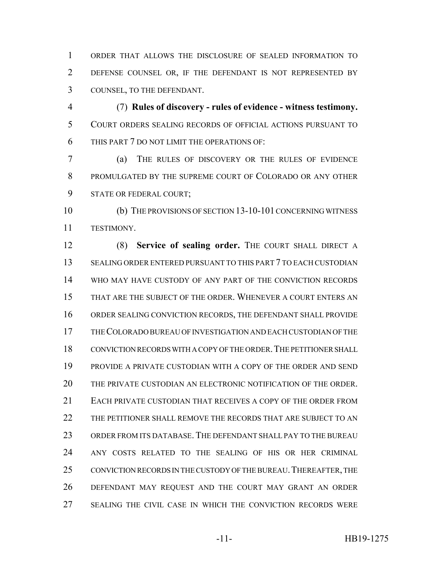ORDER THAT ALLOWS THE DISCLOSURE OF SEALED INFORMATION TO DEFENSE COUNSEL OR, IF THE DEFENDANT IS NOT REPRESENTED BY COUNSEL, TO THE DEFENDANT.

 (7) **Rules of discovery - rules of evidence - witness testimony.** COURT ORDERS SEALING RECORDS OF OFFICIAL ACTIONS PURSUANT TO THIS PART 7 DO NOT LIMIT THE OPERATIONS OF:

 (a) THE RULES OF DISCOVERY OR THE RULES OF EVIDENCE PROMULGATED BY THE SUPREME COURT OF COLORADO OR ANY OTHER STATE OR FEDERAL COURT;

 (b) THE PROVISIONS OF SECTION 13-10-101 CONCERNING WITNESS TESTIMONY.

12 (8) **Service of sealing order.** THE COURT SHALL DIRECT A SEALING ORDER ENTERED PURSUANT TO THIS PART 7 TO EACH CUSTODIAN WHO MAY HAVE CUSTODY OF ANY PART OF THE CONVICTION RECORDS THAT ARE THE SUBJECT OF THE ORDER. WHENEVER A COURT ENTERS AN ORDER SEALING CONVICTION RECORDS, THE DEFENDANT SHALL PROVIDE THE COLORADO BUREAU OF INVESTIGATION AND EACH CUSTODIAN OF THE CONVICTION RECORDS WITH A COPY OF THE ORDER.THE PETITIONER SHALL PROVIDE A PRIVATE CUSTODIAN WITH A COPY OF THE ORDER AND SEND THE PRIVATE CUSTODIAN AN ELECTRONIC NOTIFICATION OF THE ORDER. EACH PRIVATE CUSTODIAN THAT RECEIVES A COPY OF THE ORDER FROM THE PETITIONER SHALL REMOVE THE RECORDS THAT ARE SUBJECT TO AN ORDER FROM ITS DATABASE. THE DEFENDANT SHALL PAY TO THE BUREAU ANY COSTS RELATED TO THE SEALING OF HIS OR HER CRIMINAL 25 CONVICTION RECORDS IN THE CUSTODY OF THE BUREAU. THEREAFTER, THE DEFENDANT MAY REQUEST AND THE COURT MAY GRANT AN ORDER SEALING THE CIVIL CASE IN WHICH THE CONVICTION RECORDS WERE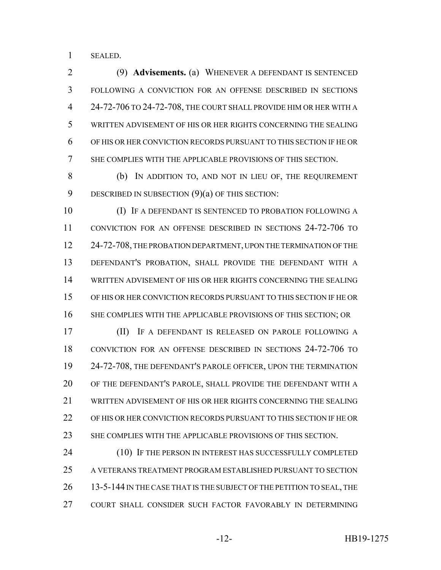SEALED.

 (9) **Advisements.** (a) WHENEVER A DEFENDANT IS SENTENCED FOLLOWING A CONVICTION FOR AN OFFENSE DESCRIBED IN SECTIONS 24-72-706 TO 24-72-708, THE COURT SHALL PROVIDE HIM OR HER WITH A WRITTEN ADVISEMENT OF HIS OR HER RIGHTS CONCERNING THE SEALING OF HIS OR HER CONVICTION RECORDS PURSUANT TO THIS SECTION IF HE OR SHE COMPLIES WITH THE APPLICABLE PROVISIONS OF THIS SECTION.

 (b) IN ADDITION TO, AND NOT IN LIEU OF, THE REQUIREMENT 9 DESCRIBED IN SUBSECTION (9)(a) OF THIS SECTION:

 (I) IF A DEFENDANT IS SENTENCED TO PROBATION FOLLOWING A CONVICTION FOR AN OFFENSE DESCRIBED IN SECTIONS 24-72-706 TO 24-72-708, THE PROBATION DEPARTMENT, UPON THE TERMINATION OF THE DEFENDANT'S PROBATION, SHALL PROVIDE THE DEFENDANT WITH A WRITTEN ADVISEMENT OF HIS OR HER RIGHTS CONCERNING THE SEALING OF HIS OR HER CONVICTION RECORDS PURSUANT TO THIS SECTION IF HE OR 16 SHE COMPLIES WITH THE APPLICABLE PROVISIONS OF THIS SECTION; OR

 (II) IF A DEFENDANT IS RELEASED ON PAROLE FOLLOWING A CONVICTION FOR AN OFFENSE DESCRIBED IN SECTIONS 24-72-706 TO 24-72-708, THE DEFENDANT'S PAROLE OFFICER, UPON THE TERMINATION OF THE DEFENDANT'S PAROLE, SHALL PROVIDE THE DEFENDANT WITH A WRITTEN ADVISEMENT OF HIS OR HER RIGHTS CONCERNING THE SEALING OF HIS OR HER CONVICTION RECORDS PURSUANT TO THIS SECTION IF HE OR SHE COMPLIES WITH THE APPLICABLE PROVISIONS OF THIS SECTION.

24 (10) IF THE PERSON IN INTEREST HAS SUCCESSFULLY COMPLETED A VETERANS TREATMENT PROGRAM ESTABLISHED PURSUANT TO SECTION 26 13-5-144 IN THE CASE THAT IS THE SUBJECT OF THE PETITION TO SEAL, THE COURT SHALL CONSIDER SUCH FACTOR FAVORABLY IN DETERMINING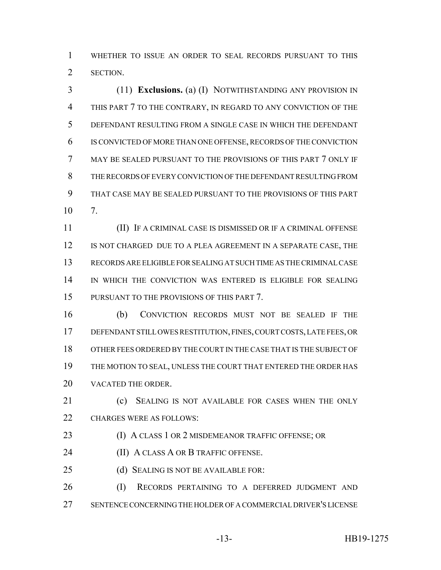WHETHER TO ISSUE AN ORDER TO SEAL RECORDS PURSUANT TO THIS SECTION.

 (11) **Exclusions.** (a) (I) NOTWITHSTANDING ANY PROVISION IN THIS PART 7 TO THE CONTRARY, IN REGARD TO ANY CONVICTION OF THE DEFENDANT RESULTING FROM A SINGLE CASE IN WHICH THE DEFENDANT IS CONVICTED OF MORE THAN ONE OFFENSE, RECORDS OF THE CONVICTION MAY BE SEALED PURSUANT TO THE PROVISIONS OF THIS PART 7 ONLY IF THE RECORDS OF EVERY CONVICTION OF THE DEFENDANT RESULTING FROM THAT CASE MAY BE SEALED PURSUANT TO THE PROVISIONS OF THIS PART 7.

 (II) IF A CRIMINAL CASE IS DISMISSED OR IF A CRIMINAL OFFENSE IS NOT CHARGED DUE TO A PLEA AGREEMENT IN A SEPARATE CASE, THE RECORDS ARE ELIGIBLE FOR SEALING AT SUCH TIME AS THE CRIMINAL CASE 14 IN WHICH THE CONVICTION WAS ENTERED IS ELIGIBLE FOR SEALING PURSUANT TO THE PROVISIONS OF THIS PART 7.

 (b) CONVICTION RECORDS MUST NOT BE SEALED IF THE DEFENDANT STILL OWES RESTITUTION, FINES, COURT COSTS, LATE FEES, OR OTHER FEES ORDERED BY THE COURT IN THE CASE THAT IS THE SUBJECT OF THE MOTION TO SEAL, UNLESS THE COURT THAT ENTERED THE ORDER HAS VACATED THE ORDER.

21 (c) SEALING IS NOT AVAILABLE FOR CASES WHEN THE ONLY CHARGES WERE AS FOLLOWS:

23 (I) A CLASS 1 OR 2 MISDEMEANOR TRAFFIC OFFENSE; OR

- (II) A CLASS A OR B TRAFFIC OFFENSE.
- 25 (d) SEALING IS NOT BE AVAILABLE FOR:

 (I) RECORDS PERTAINING TO A DEFERRED JUDGMENT AND SENTENCE CONCERNING THE HOLDER OF A COMMERCIAL DRIVER'S LICENSE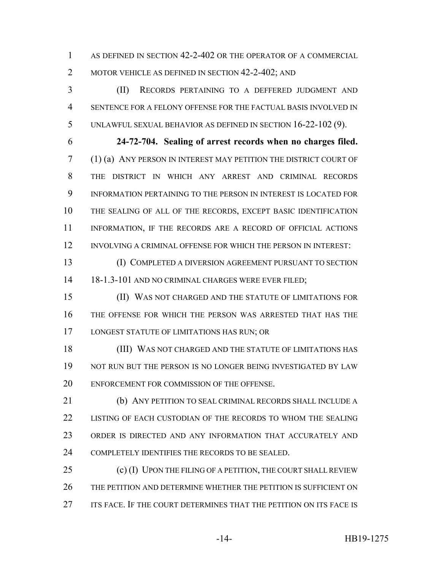AS DEFINED IN SECTION 42-2-402 OR THE OPERATOR OF A COMMERCIAL 2 MOTOR VEHICLE AS DEFINED IN SECTION 42-2-402; AND

 (II) RECORDS PERTAINING TO A DEFFERED JUDGMENT AND SENTENCE FOR A FELONY OFFENSE FOR THE FACTUAL BASIS INVOLVED IN UNLAWFUL SEXUAL BEHAVIOR AS DEFINED IN SECTION 16-22-102 (9).

 **24-72-704. Sealing of arrest records when no charges filed.** (1) (a) ANY PERSON IN INTEREST MAY PETITION THE DISTRICT COURT OF THE DISTRICT IN WHICH ANY ARREST AND CRIMINAL RECORDS INFORMATION PERTAINING TO THE PERSON IN INTEREST IS LOCATED FOR THE SEALING OF ALL OF THE RECORDS, EXCEPT BASIC IDENTIFICATION 11 INFORMATION, IF THE RECORDS ARE A RECORD OF OFFICIAL ACTIONS INVOLVING A CRIMINAL OFFENSE FOR WHICH THE PERSON IN INTEREST:

 (I) COMPLETED A DIVERSION AGREEMENT PURSUANT TO SECTION 14 18-1.3-101 AND NO CRIMINAL CHARGES WERE EVER FILED;

 (II) WAS NOT CHARGED AND THE STATUTE OF LIMITATIONS FOR THE OFFENSE FOR WHICH THE PERSON WAS ARRESTED THAT HAS THE LONGEST STATUTE OF LIMITATIONS HAS RUN; OR

 (III) WAS NOT CHARGED AND THE STATUTE OF LIMITATIONS HAS NOT RUN BUT THE PERSON IS NO LONGER BEING INVESTIGATED BY LAW ENFORCEMENT FOR COMMISSION OF THE OFFENSE.

 (b) ANY PETITION TO SEAL CRIMINAL RECORDS SHALL INCLUDE A LISTING OF EACH CUSTODIAN OF THE RECORDS TO WHOM THE SEALING ORDER IS DIRECTED AND ANY INFORMATION THAT ACCURATELY AND COMPLETELY IDENTIFIES THE RECORDS TO BE SEALED.

25 (c) (I) UPON THE FILING OF A PETITION, THE COURT SHALL REVIEW THE PETITION AND DETERMINE WHETHER THE PETITION IS SUFFICIENT ON ITS FACE. IF THE COURT DETERMINES THAT THE PETITION ON ITS FACE IS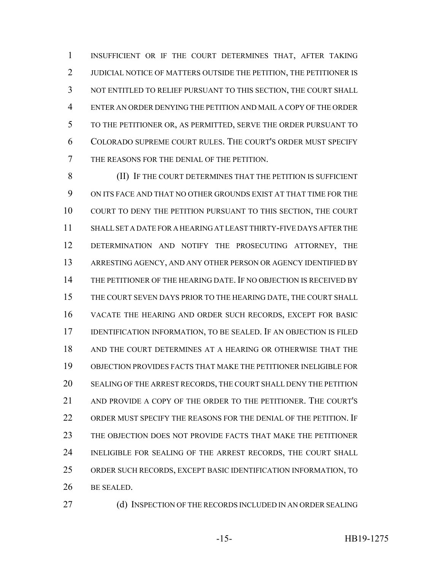INSUFFICIENT OR IF THE COURT DETERMINES THAT, AFTER TAKING 2 JUDICIAL NOTICE OF MATTERS OUTSIDE THE PETITION, THE PETITIONER IS NOT ENTITLED TO RELIEF PURSUANT TO THIS SECTION, THE COURT SHALL ENTER AN ORDER DENYING THE PETITION AND MAIL A COPY OF THE ORDER TO THE PETITIONER OR, AS PERMITTED, SERVE THE ORDER PURSUANT TO COLORADO SUPREME COURT RULES. THE COURT'S ORDER MUST SPECIFY THE REASONS FOR THE DENIAL OF THE PETITION.

**(II)** IF THE COURT DETERMINES THAT THE PETITION IS SUFFICIENT ON ITS FACE AND THAT NO OTHER GROUNDS EXIST AT THAT TIME FOR THE COURT TO DENY THE PETITION PURSUANT TO THIS SECTION, THE COURT SHALL SET A DATE FOR A HEARING AT LEAST THIRTY-FIVE DAYS AFTER THE DETERMINATION AND NOTIFY THE PROSECUTING ATTORNEY, THE ARRESTING AGENCY, AND ANY OTHER PERSON OR AGENCY IDENTIFIED BY THE PETITIONER OF THE HEARING DATE. IF NO OBJECTION IS RECEIVED BY THE COURT SEVEN DAYS PRIOR TO THE HEARING DATE, THE COURT SHALL VACATE THE HEARING AND ORDER SUCH RECORDS, EXCEPT FOR BASIC IDENTIFICATION INFORMATION, TO BE SEALED. IF AN OBJECTION IS FILED AND THE COURT DETERMINES AT A HEARING OR OTHERWISE THAT THE OBJECTION PROVIDES FACTS THAT MAKE THE PETITIONER INELIGIBLE FOR SEALING OF THE ARREST RECORDS, THE COURT SHALL DENY THE PETITION AND PROVIDE A COPY OF THE ORDER TO THE PETITIONER. THE COURT'S ORDER MUST SPECIFY THE REASONS FOR THE DENIAL OF THE PETITION. IF THE OBJECTION DOES NOT PROVIDE FACTS THAT MAKE THE PETITIONER INELIGIBLE FOR SEALING OF THE ARREST RECORDS, THE COURT SHALL ORDER SUCH RECORDS, EXCEPT BASIC IDENTIFICATION INFORMATION, TO BE SEALED.

27 (d) INSPECTION OF THE RECORDS INCLUDED IN AN ORDER SEALING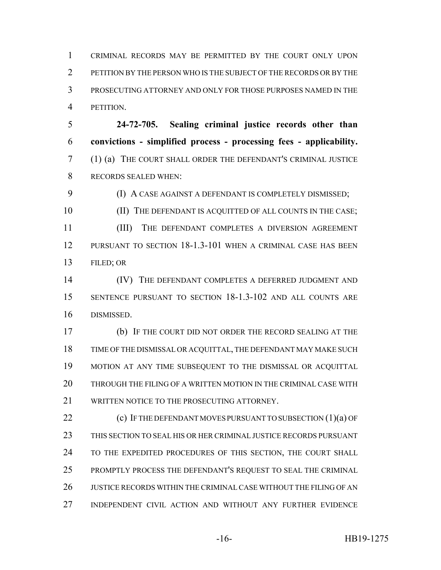CRIMINAL RECORDS MAY BE PERMITTED BY THE COURT ONLY UPON PETITION BY THE PERSON WHO IS THE SUBJECT OF THE RECORDS OR BY THE PROSECUTING ATTORNEY AND ONLY FOR THOSE PURPOSES NAMED IN THE PETITION.

 **24-72-705. Sealing criminal justice records other than convictions - simplified process - processing fees - applicability.** (1) (a) THE COURT SHALL ORDER THE DEFENDANT'S CRIMINAL JUSTICE RECORDS SEALED WHEN:

**(I) A CASE AGAINST A DEFENDANT IS COMPLETELY DISMISSED;** 

10 (II) THE DEFENDANT IS ACQUITTED OF ALL COUNTS IN THE CASE;

 (III) THE DEFENDANT COMPLETES A DIVERSION AGREEMENT PURSUANT TO SECTION 18-1.3-101 WHEN A CRIMINAL CASE HAS BEEN FILED; OR

14 (IV) THE DEFENDANT COMPLETES A DEFERRED JUDGMENT AND SENTENCE PURSUANT TO SECTION 18-1.3-102 AND ALL COUNTS ARE DISMISSED.

 (b) IF THE COURT DID NOT ORDER THE RECORD SEALING AT THE TIME OF THE DISMISSAL OR ACQUITTAL, THE DEFENDANT MAY MAKE SUCH MOTION AT ANY TIME SUBSEQUENT TO THE DISMISSAL OR ACQUITTAL THROUGH THE FILING OF A WRITTEN MOTION IN THE CRIMINAL CASE WITH 21 WRITTEN NOTICE TO THE PROSECUTING ATTORNEY.

22 (c) IF THE DEFENDANT MOVES PURSUANT TO SUBSECTION (1)(a) OF THIS SECTION TO SEAL HIS OR HER CRIMINAL JUSTICE RECORDS PURSUANT TO THE EXPEDITED PROCEDURES OF THIS SECTION, THE COURT SHALL PROMPTLY PROCESS THE DEFENDANT'S REQUEST TO SEAL THE CRIMINAL JUSTICE RECORDS WITHIN THE CRIMINAL CASE WITHOUT THE FILING OF AN INDEPENDENT CIVIL ACTION AND WITHOUT ANY FURTHER EVIDENCE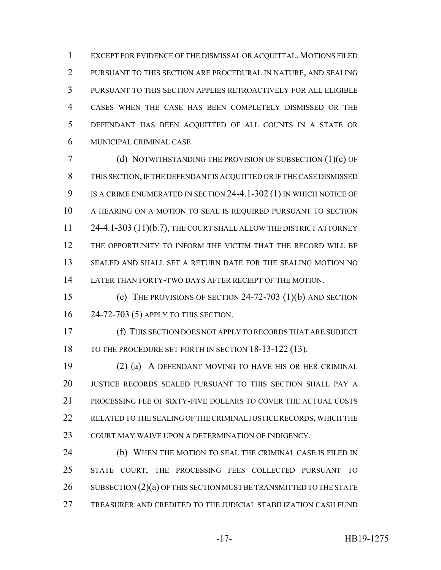EXCEPT FOR EVIDENCE OF THE DISMISSAL OR ACQUITTAL. MOTIONS FILED PURSUANT TO THIS SECTION ARE PROCEDURAL IN NATURE, AND SEALING PURSUANT TO THIS SECTION APPLIES RETROACTIVELY FOR ALL ELIGIBLE CASES WHEN THE CASE HAS BEEN COMPLETELY DISMISSED OR THE DEFENDANT HAS BEEN ACQUITTED OF ALL COUNTS IN A STATE OR MUNICIPAL CRIMINAL CASE.

 (d) NOTWITHSTANDING THE PROVISION OF SUBSECTION (1)(c) OF THIS SECTION, IF THE DEFENDANT IS ACQUITTED OR IF THE CASE DISMISSED 9 IS A CRIME ENUMERATED IN SECTION 24-4.1-302 (1) IN WHICH NOTICE OF A HEARING ON A MOTION TO SEAL IS REQUIRED PURSUANT TO SECTION 11 24-4.1-303 (11)(b.7), THE COURT SHALL ALLOW THE DISTRICT ATTORNEY THE OPPORTUNITY TO INFORM THE VICTIM THAT THE RECORD WILL BE SEALED AND SHALL SET A RETURN DATE FOR THE SEALING MOTION NO LATER THAN FORTY-TWO DAYS AFTER RECEIPT OF THE MOTION.

 (e) THE PROVISIONS OF SECTION 24-72-703 (1)(b) AND SECTION 24-72-703 (5) APPLY TO THIS SECTION.

 (f) THIS SECTION DOES NOT APPLY TO RECORDS THAT ARE SUBJECT 18 TO THE PROCEDURE SET FORTH IN SECTION 18-13-122 (13).

 (2) (a) A DEFENDANT MOVING TO HAVE HIS OR HER CRIMINAL JUSTICE RECORDS SEALED PURSUANT TO THIS SECTION SHALL PAY A PROCESSING FEE OF SIXTY-FIVE DOLLARS TO COVER THE ACTUAL COSTS 22 RELATED TO THE SEALING OF THE CRIMINAL JUSTICE RECORDS, WHICH THE COURT MAY WAIVE UPON A DETERMINATION OF INDIGENCY.

 (b) WHEN THE MOTION TO SEAL THE CRIMINAL CASE IS FILED IN STATE COURT, THE PROCESSING FEES COLLECTED PURSUANT TO 26 SUBSECTION (2)(a) OF THIS SECTION MUST BE TRANSMITTED TO THE STATE TREASURER AND CREDITED TO THE JUDICIAL STABILIZATION CASH FUND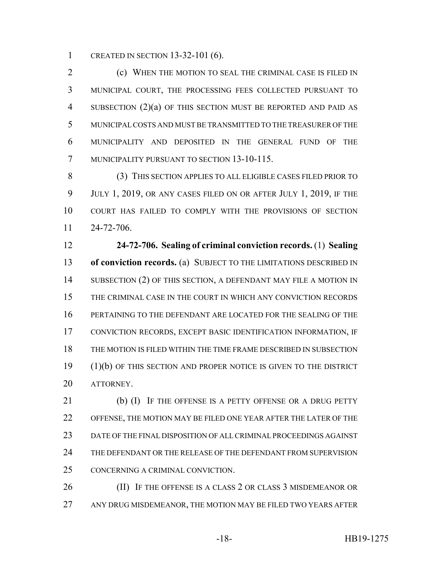CREATED IN SECTION 13-32-101 (6).

 (c) WHEN THE MOTION TO SEAL THE CRIMINAL CASE IS FILED IN MUNICIPAL COURT, THE PROCESSING FEES COLLECTED PURSUANT TO SUBSECTION (2)(a) OF THIS SECTION MUST BE REPORTED AND PAID AS MUNICIPAL COSTS AND MUST BE TRANSMITTED TO THE TREASURER OF THE MUNICIPALITY AND DEPOSITED IN THE GENERAL FUND OF THE MUNICIPALITY PURSUANT TO SECTION 13-10-115.

 (3) THIS SECTION APPLIES TO ALL ELIGIBLE CASES FILED PRIOR TO JULY 1, 2019, OR ANY CASES FILED ON OR AFTER JULY 1, 2019, IF THE COURT HAS FAILED TO COMPLY WITH THE PROVISIONS OF SECTION 24-72-706.

 **24-72-706. Sealing of criminal conviction records.** (1) **Sealing of conviction records.** (a) SUBJECT TO THE LIMITATIONS DESCRIBED IN 14 SUBSECTION (2) OF THIS SECTION, A DEFENDANT MAY FILE A MOTION IN THE CRIMINAL CASE IN THE COURT IN WHICH ANY CONVICTION RECORDS PERTAINING TO THE DEFENDANT ARE LOCATED FOR THE SEALING OF THE CONVICTION RECORDS, EXCEPT BASIC IDENTIFICATION INFORMATION, IF THE MOTION IS FILED WITHIN THE TIME FRAME DESCRIBED IN SUBSECTION (1)(b) OF THIS SECTION AND PROPER NOTICE IS GIVEN TO THE DISTRICT ATTORNEY.

21 (b) (I) IF THE OFFENSE IS A PETTY OFFENSE OR A DRUG PETTY OFFENSE, THE MOTION MAY BE FILED ONE YEAR AFTER THE LATER OF THE DATE OF THE FINAL DISPOSITION OF ALL CRIMINAL PROCEEDINGS AGAINST THE DEFENDANT OR THE RELEASE OF THE DEFENDANT FROM SUPERVISION CONCERNING A CRIMINAL CONVICTION.

 (II) IF THE OFFENSE IS A CLASS 2 OR CLASS 3 MISDEMEANOR OR ANY DRUG MISDEMEANOR, THE MOTION MAY BE FILED TWO YEARS AFTER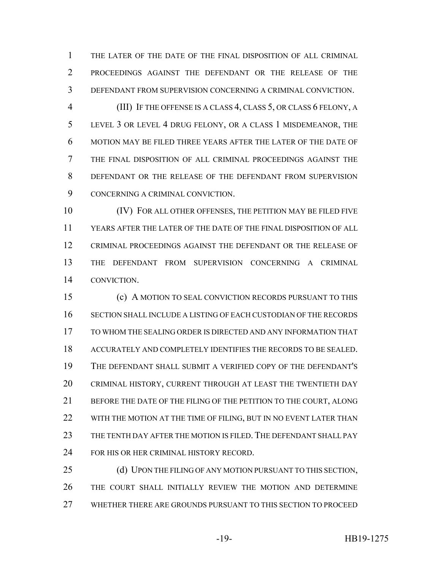THE LATER OF THE DATE OF THE FINAL DISPOSITION OF ALL CRIMINAL PROCEEDINGS AGAINST THE DEFENDANT OR THE RELEASE OF THE DEFENDANT FROM SUPERVISION CONCERNING A CRIMINAL CONVICTION.

 (III) IF THE OFFENSE IS A CLASS 4, CLASS 5, OR CLASS 6 FELONY, A LEVEL 3 OR LEVEL 4 DRUG FELONY, OR A CLASS 1 MISDEMEANOR, THE MOTION MAY BE FILED THREE YEARS AFTER THE LATER OF THE DATE OF THE FINAL DISPOSITION OF ALL CRIMINAL PROCEEDINGS AGAINST THE DEFENDANT OR THE RELEASE OF THE DEFENDANT FROM SUPERVISION CONCERNING A CRIMINAL CONVICTION.

 (IV) FOR ALL OTHER OFFENSES, THE PETITION MAY BE FILED FIVE YEARS AFTER THE LATER OF THE DATE OF THE FINAL DISPOSITION OF ALL CRIMINAL PROCEEDINGS AGAINST THE DEFENDANT OR THE RELEASE OF THE DEFENDANT FROM SUPERVISION CONCERNING A CRIMINAL CONVICTION.

 (c) A MOTION TO SEAL CONVICTION RECORDS PURSUANT TO THIS SECTION SHALL INCLUDE A LISTING OF EACH CUSTODIAN OF THE RECORDS TO WHOM THE SEALING ORDER IS DIRECTED AND ANY INFORMATION THAT ACCURATELY AND COMPLETELY IDENTIFIES THE RECORDS TO BE SEALED. THE DEFENDANT SHALL SUBMIT A VERIFIED COPY OF THE DEFENDANT'S CRIMINAL HISTORY, CURRENT THROUGH AT LEAST THE TWENTIETH DAY BEFORE THE DATE OF THE FILING OF THE PETITION TO THE COURT, ALONG 22 WITH THE MOTION AT THE TIME OF FILING, BUT IN NO EVENT LATER THAN THE TENTH DAY AFTER THE MOTION IS FILED. THE DEFENDANT SHALL PAY 24 FOR HIS OR HER CRIMINAL HISTORY RECORD.

25 (d) UPON THE FILING OF ANY MOTION PURSUANT TO THIS SECTION, THE COURT SHALL INITIALLY REVIEW THE MOTION AND DETERMINE WHETHER THERE ARE GROUNDS PURSUANT TO THIS SECTION TO PROCEED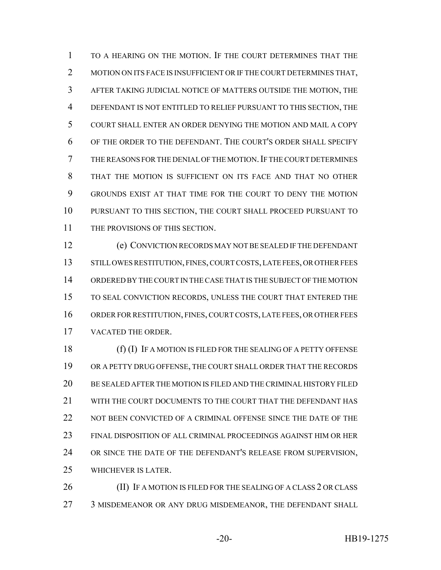TO A HEARING ON THE MOTION. IF THE COURT DETERMINES THAT THE 2 MOTION ON ITS FACE IS INSUFFICIENT OR IF THE COURT DETERMINES THAT, AFTER TAKING JUDICIAL NOTICE OF MATTERS OUTSIDE THE MOTION, THE DEFENDANT IS NOT ENTITLED TO RELIEF PURSUANT TO THIS SECTION, THE COURT SHALL ENTER AN ORDER DENYING THE MOTION AND MAIL A COPY OF THE ORDER TO THE DEFENDANT. THE COURT'S ORDER SHALL SPECIFY THE REASONS FOR THE DENIAL OF THE MOTION.IF THE COURT DETERMINES THAT THE MOTION IS SUFFICIENT ON ITS FACE AND THAT NO OTHER GROUNDS EXIST AT THAT TIME FOR THE COURT TO DENY THE MOTION PURSUANT TO THIS SECTION, THE COURT SHALL PROCEED PURSUANT TO 11 THE PROVISIONS OF THIS SECTION.

 (e) CONVICTION RECORDS MAY NOT BE SEALED IF THE DEFENDANT 13 STILL OWES RESTITUTION, FINES, COURT COSTS, LATE FEES, OR OTHER FEES ORDERED BY THE COURT IN THE CASE THAT IS THE SUBJECT OF THE MOTION TO SEAL CONVICTION RECORDS, UNLESS THE COURT THAT ENTERED THE ORDER FOR RESTITUTION, FINES, COURT COSTS, LATE FEES, OR OTHER FEES VACATED THE ORDER.

 (f) (I) IF A MOTION IS FILED FOR THE SEALING OF A PETTY OFFENSE OR A PETTY DRUG OFFENSE, THE COURT SHALL ORDER THAT THE RECORDS BE SEALED AFTER THE MOTION IS FILED AND THE CRIMINAL HISTORY FILED WITH THE COURT DOCUMENTS TO THE COURT THAT THE DEFENDANT HAS NOT BEEN CONVICTED OF A CRIMINAL OFFENSE SINCE THE DATE OF THE FINAL DISPOSITION OF ALL CRIMINAL PROCEEDINGS AGAINST HIM OR HER OR SINCE THE DATE OF THE DEFENDANT'S RELEASE FROM SUPERVISION, WHICHEVER IS LATER.

26 (II) IF A MOTION IS FILED FOR THE SEALING OF A CLASS 2 OR CLASS 27 3 MISDEMEANOR OR ANY DRUG MISDEMEANOR, THE DEFENDANT SHALL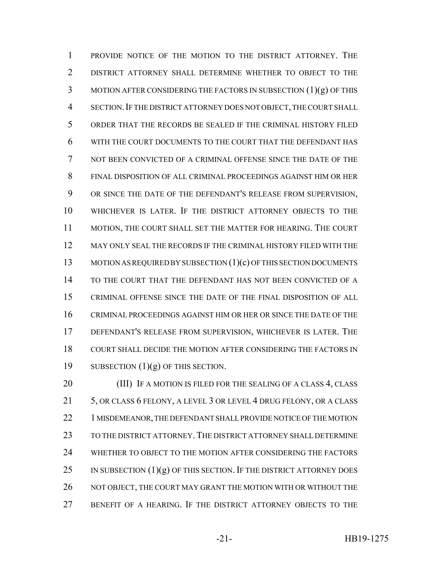PROVIDE NOTICE OF THE MOTION TO THE DISTRICT ATTORNEY. THE DISTRICT ATTORNEY SHALL DETERMINE WHETHER TO OBJECT TO THE MOTION AFTER CONSIDERING THE FACTORS IN SUBSECTION (1)(g) OF THIS SECTION.IF THE DISTRICT ATTORNEY DOES NOT OBJECT, THE COURT SHALL ORDER THAT THE RECORDS BE SEALED IF THE CRIMINAL HISTORY FILED WITH THE COURT DOCUMENTS TO THE COURT THAT THE DEFENDANT HAS NOT BEEN CONVICTED OF A CRIMINAL OFFENSE SINCE THE DATE OF THE FINAL DISPOSITION OF ALL CRIMINAL PROCEEDINGS AGAINST HIM OR HER OR SINCE THE DATE OF THE DEFENDANT'S RELEASE FROM SUPERVISION, WHICHEVER IS LATER. IF THE DISTRICT ATTORNEY OBJECTS TO THE MOTION, THE COURT SHALL SET THE MATTER FOR HEARING. THE COURT MAY ONLY SEAL THE RECORDS IF THE CRIMINAL HISTORY FILED WITH THE 13 MOTION AS REQUIRED BY SUBSECTION (1)(c) OF THIS SECTION DOCUMENTS TO THE COURT THAT THE DEFENDANT HAS NOT BEEN CONVICTED OF A CRIMINAL OFFENSE SINCE THE DATE OF THE FINAL DISPOSITION OF ALL CRIMINAL PROCEEDINGS AGAINST HIM OR HER OR SINCE THE DATE OF THE DEFENDANT'S RELEASE FROM SUPERVISION, WHICHEVER IS LATER. THE COURT SHALL DECIDE THE MOTION AFTER CONSIDERING THE FACTORS IN 19 SUBSECTION  $(1)(g)$  OF THIS SECTION.

20 (III) IF A MOTION IS FILED FOR THE SEALING OF A CLASS 4, CLASS 21 5, OR CLASS 6 FELONY, A LEVEL 3 OR LEVEL 4 DRUG FELONY, OR A CLASS 22 1 MISDEMEANOR, THE DEFENDANT SHALL PROVIDE NOTICE OF THE MOTION 23 TO THE DISTRICT ATTORNEY. THE DISTRICT ATTORNEY SHALL DETERMINE WHETHER TO OBJECT TO THE MOTION AFTER CONSIDERING THE FACTORS 25 IN SUBSECTION  $(1)(g)$  OF THIS SECTION. IF THE DISTRICT ATTORNEY DOES 26 NOT OBJECT, THE COURT MAY GRANT THE MOTION WITH OR WITHOUT THE BENEFIT OF A HEARING. IF THE DISTRICT ATTORNEY OBJECTS TO THE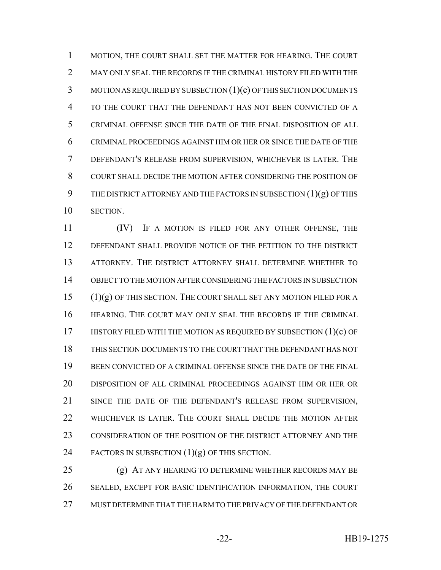MOTION, THE COURT SHALL SET THE MATTER FOR HEARING. THE COURT MAY ONLY SEAL THE RECORDS IF THE CRIMINAL HISTORY FILED WITH THE MOTION AS REQUIRED BY SUBSECTION (1)(c) OF THIS SECTION DOCUMENTS TO THE COURT THAT THE DEFENDANT HAS NOT BEEN CONVICTED OF A CRIMINAL OFFENSE SINCE THE DATE OF THE FINAL DISPOSITION OF ALL CRIMINAL PROCEEDINGS AGAINST HIM OR HER OR SINCE THE DATE OF THE DEFENDANT'S RELEASE FROM SUPERVISION, WHICHEVER IS LATER. THE COURT SHALL DECIDE THE MOTION AFTER CONSIDERING THE POSITION OF 9 THE DISTRICT ATTORNEY AND THE FACTORS IN SUBSECTION  $(1)(g)$  OF THIS SECTION.

 (IV) IF A MOTION IS FILED FOR ANY OTHER OFFENSE, THE DEFENDANT SHALL PROVIDE NOTICE OF THE PETITION TO THE DISTRICT ATTORNEY. THE DISTRICT ATTORNEY SHALL DETERMINE WHETHER TO OBJECT TO THE MOTION AFTER CONSIDERING THE FACTORS IN SUBSECTION (1)(g) OF THIS SECTION. THE COURT SHALL SET ANY MOTION FILED FOR A HEARING. THE COURT MAY ONLY SEAL THE RECORDS IF THE CRIMINAL 17 HISTORY FILED WITH THE MOTION AS REQUIRED BY SUBSECTION (1)(c) OF THIS SECTION DOCUMENTS TO THE COURT THAT THE DEFENDANT HAS NOT BEEN CONVICTED OF A CRIMINAL OFFENSE SINCE THE DATE OF THE FINAL DISPOSITION OF ALL CRIMINAL PROCEEDINGS AGAINST HIM OR HER OR SINCE THE DATE OF THE DEFENDANT'S RELEASE FROM SUPERVISION, WHICHEVER IS LATER. THE COURT SHALL DECIDE THE MOTION AFTER CONSIDERATION OF THE POSITION OF THE DISTRICT ATTORNEY AND THE 24 FACTORS IN SUBSECTION  $(1)(g)$  OF THIS SECTION.

 (g) AT ANY HEARING TO DETERMINE WHETHER RECORDS MAY BE SEALED, EXCEPT FOR BASIC IDENTIFICATION INFORMATION, THE COURT MUST DETERMINE THAT THE HARM TO THE PRIVACY OF THE DEFENDANT OR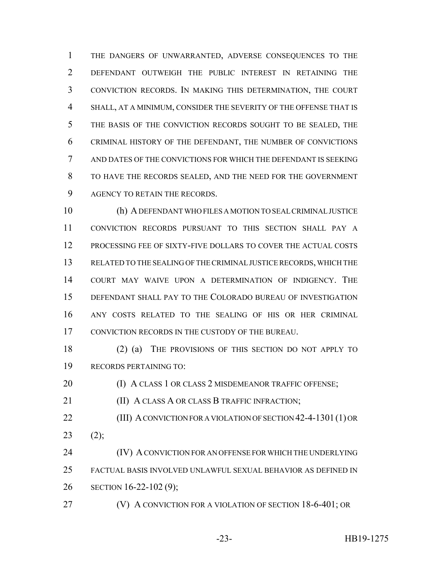THE DANGERS OF UNWARRANTED, ADVERSE CONSEQUENCES TO THE DEFENDANT OUTWEIGH THE PUBLIC INTEREST IN RETAINING THE CONVICTION RECORDS. IN MAKING THIS DETERMINATION, THE COURT SHALL, AT A MINIMUM, CONSIDER THE SEVERITY OF THE OFFENSE THAT IS THE BASIS OF THE CONVICTION RECORDS SOUGHT TO BE SEALED, THE CRIMINAL HISTORY OF THE DEFENDANT, THE NUMBER OF CONVICTIONS AND DATES OF THE CONVICTIONS FOR WHICH THE DEFENDANT IS SEEKING TO HAVE THE RECORDS SEALED, AND THE NEED FOR THE GOVERNMENT AGENCY TO RETAIN THE RECORDS.

 (h) A DEFENDANT WHO FILES A MOTION TO SEAL CRIMINAL JUSTICE CONVICTION RECORDS PURSUANT TO THIS SECTION SHALL PAY A PROCESSING FEE OF SIXTY-FIVE DOLLARS TO COVER THE ACTUAL COSTS RELATED TO THE SEALING OF THE CRIMINAL JUSTICE RECORDS, WHICH THE COURT MAY WAIVE UPON A DETERMINATION OF INDIGENCY. THE DEFENDANT SHALL PAY TO THE COLORADO BUREAU OF INVESTIGATION ANY COSTS RELATED TO THE SEALING OF HIS OR HER CRIMINAL CONVICTION RECORDS IN THE CUSTODY OF THE BUREAU.

 (2) (a) THE PROVISIONS OF THIS SECTION DO NOT APPLY TO RECORDS PERTAINING TO:

**(I) A CLASS 1 OR CLASS 2 MISDEMEANOR TRAFFIC OFFENSE;** 

**III) A CLASS A OR CLASS B TRAFFIC INFRACTION;** 

**(III) A CONVICTION FOR A VIOLATION OF SECTION 42-4-1301 (1) OR** (2);

 (IV) A CONVICTION FOR AN OFFENSE FOR WHICH THE UNDERLYING FACTUAL BASIS INVOLVED UNLAWFUL SEXUAL BEHAVIOR AS DEFINED IN SECTION 16-22-102 (9);

(V) A CONVICTION FOR A VIOLATION OF SECTION 18-6-401; OR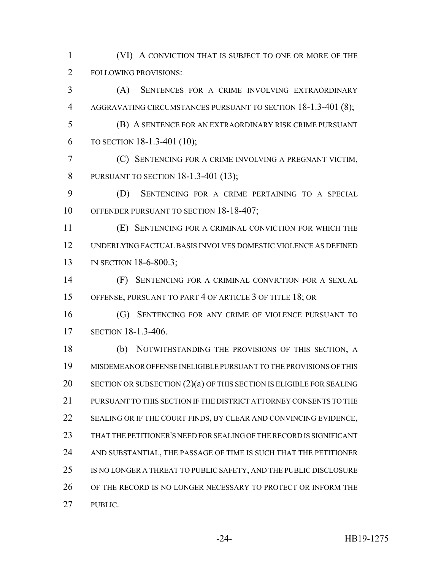(VI) A CONVICTION THAT IS SUBJECT TO ONE OR MORE OF THE FOLLOWING PROVISIONS:

 (A) SENTENCES FOR A CRIME INVOLVING EXTRAORDINARY AGGRAVATING CIRCUMSTANCES PURSUANT TO SECTION 18-1.3-401 (8);

 (B) A SENTENCE FOR AN EXTRAORDINARY RISK CRIME PURSUANT TO SECTION 18-1.3-401 (10);

 (C) SENTENCING FOR A CRIME INVOLVING A PREGNANT VICTIM, PURSUANT TO SECTION 18-1.3-401 (13);

 (D) SENTENCING FOR A CRIME PERTAINING TO A SPECIAL 10 OFFENDER PURSUANT TO SECTION 18-18-407;

 (E) SENTENCING FOR A CRIMINAL CONVICTION FOR WHICH THE UNDERLYING FACTUAL BASIS INVOLVES DOMESTIC VIOLENCE AS DEFINED 13 IN SECTION 18-6-800.3;

 (F) SENTENCING FOR A CRIMINAL CONVICTION FOR A SEXUAL OFFENSE, PURSUANT TO PART 4 OF ARTICLE 3 OF TITLE 18; OR

 (G) SENTENCING FOR ANY CRIME OF VIOLENCE PURSUANT TO SECTION 18-1.3-406.

 (b) NOTWITHSTANDING THE PROVISIONS OF THIS SECTION, A MISDEMEANOR OFFENSE INELIGIBLE PURSUANT TO THE PROVISIONS OF THIS SECTION OR SUBSECTION (2)(a) OF THIS SECTION IS ELIGIBLE FOR SEALING PURSUANT TO THIS SECTION IF THE DISTRICT ATTORNEY CONSENTS TO THE 22 SEALING OR IF THE COURT FINDS, BY CLEAR AND CONVINCING EVIDENCE, THAT THE PETITIONER'S NEED FOR SEALING OF THE RECORD IS SIGNIFICANT AND SUBSTANTIAL, THE PASSAGE OF TIME IS SUCH THAT THE PETITIONER IS NO LONGER A THREAT TO PUBLIC SAFETY, AND THE PUBLIC DISCLOSURE 26 OF THE RECORD IS NO LONGER NECESSARY TO PROTECT OR INFORM THE PUBLIC.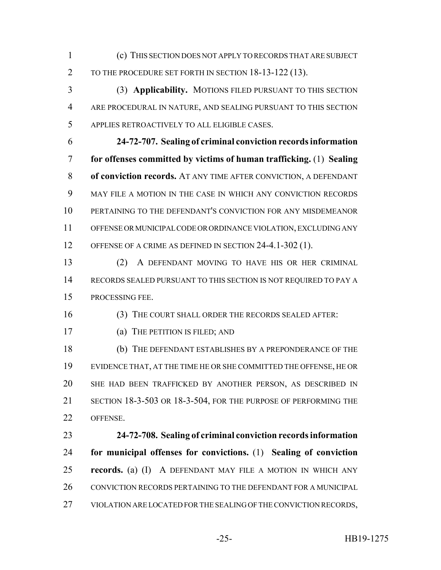(c) THIS SECTION DOES NOT APPLY TO RECORDS THAT ARE SUBJECT 2 TO THE PROCEDURE SET FORTH IN SECTION 18-13-122 (13).

 (3) **Applicability.** MOTIONS FILED PURSUANT TO THIS SECTION ARE PROCEDURAL IN NATURE, AND SEALING PURSUANT TO THIS SECTION APPLIES RETROACTIVELY TO ALL ELIGIBLE CASES.

 **24-72-707. Sealing of criminal conviction records information for offenses committed by victims of human trafficking.** (1) **Sealing of conviction records.** AT ANY TIME AFTER CONVICTION, A DEFENDANT MAY FILE A MOTION IN THE CASE IN WHICH ANY CONVICTION RECORDS PERTAINING TO THE DEFENDANT'S CONVICTION FOR ANY MISDEMEANOR OFFENSE OR MUNICIPAL CODE OR ORDINANCE VIOLATION, EXCLUDING ANY 12 OFFENSE OF A CRIME AS DEFINED IN SECTION 24-4.1-302 (1).

 (2) A DEFENDANT MOVING TO HAVE HIS OR HER CRIMINAL RECORDS SEALED PURSUANT TO THIS SECTION IS NOT REQUIRED TO PAY A PROCESSING FEE.

(3) THE COURT SHALL ORDER THE RECORDS SEALED AFTER:

(a) THE PETITION IS FILED; AND

 (b) THE DEFENDANT ESTABLISHES BY A PREPONDERANCE OF THE EVIDENCE THAT, AT THE TIME HE OR SHE COMMITTED THE OFFENSE, HE OR SHE HAD BEEN TRAFFICKED BY ANOTHER PERSON, AS DESCRIBED IN SECTION 18-3-503 OR 18-3-504, FOR THE PURPOSE OF PERFORMING THE OFFENSE.

 **24-72-708. Sealing of criminal conviction records information for municipal offenses for convictions.** (1) **Sealing of conviction records.** (a) (I) A DEFENDANT MAY FILE A MOTION IN WHICH ANY 26 CONVICTION RECORDS PERTAINING TO THE DEFENDANT FOR A MUNICIPAL VIOLATION ARE LOCATED FOR THE SEALING OF THE CONVICTION RECORDS,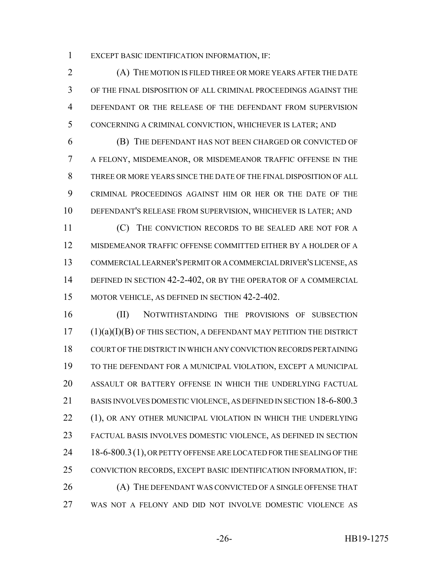EXCEPT BASIC IDENTIFICATION INFORMATION, IF:

 (A) THE MOTION IS FILED THREE OR MORE YEARS AFTER THE DATE OF THE FINAL DISPOSITION OF ALL CRIMINAL PROCEEDINGS AGAINST THE DEFENDANT OR THE RELEASE OF THE DEFENDANT FROM SUPERVISION CONCERNING A CRIMINAL CONVICTION, WHICHEVER IS LATER; AND

 (B) THE DEFENDANT HAS NOT BEEN CHARGED OR CONVICTED OF A FELONY, MISDEMEANOR, OR MISDEMEANOR TRAFFIC OFFENSE IN THE THREE OR MORE YEARS SINCE THE DATE OF THE FINAL DISPOSITION OF ALL CRIMINAL PROCEEDINGS AGAINST HIM OR HER OR THE DATE OF THE DEFENDANT'S RELEASE FROM SUPERVISION, WHICHEVER IS LATER; AND

11 (C) THE CONVICTION RECORDS TO BE SEALED ARE NOT FOR A MISDEMEANOR TRAFFIC OFFENSE COMMITTED EITHER BY A HOLDER OF A COMMERCIAL LEARNER'S PERMIT OR A COMMERCIAL DRIVER'S LICENSE, AS 14 DEFINED IN SECTION 42-2-402, OR BY THE OPERATOR OF A COMMERCIAL MOTOR VEHICLE, AS DEFINED IN SECTION 42-2-402.

 (II) NOTWITHSTANDING THE PROVISIONS OF SUBSECTION (1)(a)(I)(B) OF THIS SECTION, A DEFENDANT MAY PETITION THE DISTRICT COURT OF THE DISTRICT IN WHICH ANY CONVICTION RECORDS PERTAINING TO THE DEFENDANT FOR A MUNICIPAL VIOLATION, EXCEPT A MUNICIPAL ASSAULT OR BATTERY OFFENSE IN WHICH THE UNDERLYING FACTUAL BASIS INVOLVES DOMESTIC VIOLENCE, AS DEFINED IN SECTION 18-6-800.3 22 (1), OR ANY OTHER MUNICIPAL VIOLATION IN WHICH THE UNDERLYING FACTUAL BASIS INVOLVES DOMESTIC VIOLENCE, AS DEFINED IN SECTION 24 18-6-800.3(1), OR PETTY OFFENSE ARE LOCATED FOR THE SEALING OF THE CONVICTION RECORDS, EXCEPT BASIC IDENTIFICATION INFORMATION, IF: 26 (A) THE DEFENDANT WAS CONVICTED OF A SINGLE OFFENSE THAT WAS NOT A FELONY AND DID NOT INVOLVE DOMESTIC VIOLENCE AS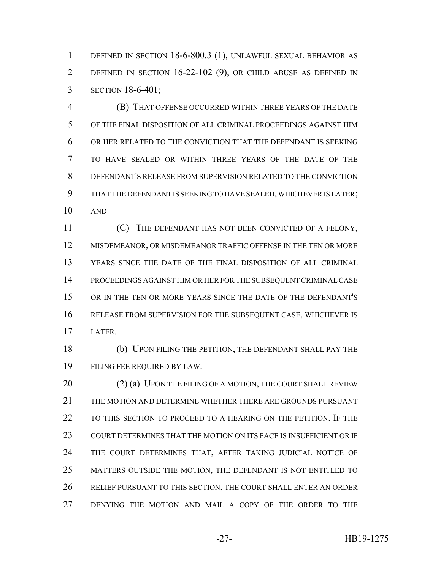DEFINED IN SECTION 18-6-800.3 (1), UNLAWFUL SEXUAL BEHAVIOR AS DEFINED IN SECTION 16-22-102 (9), OR CHILD ABUSE AS DEFINED IN SECTION 18-6-401;

 (B) THAT OFFENSE OCCURRED WITHIN THREE YEARS OF THE DATE OF THE FINAL DISPOSITION OF ALL CRIMINAL PROCEEDINGS AGAINST HIM OR HER RELATED TO THE CONVICTION THAT THE DEFENDANT IS SEEKING TO HAVE SEALED OR WITHIN THREE YEARS OF THE DATE OF THE DEFENDANT'S RELEASE FROM SUPERVISION RELATED TO THE CONVICTION THAT THE DEFENDANT IS SEEKING TO HAVE SEALED, WHICHEVER IS LATER; AND

 (C) THE DEFENDANT HAS NOT BEEN CONVICTED OF A FELONY, MISDEMEANOR, OR MISDEMEANOR TRAFFIC OFFENSE IN THE TEN OR MORE YEARS SINCE THE DATE OF THE FINAL DISPOSITION OF ALL CRIMINAL PROCEEDINGS AGAINST HIM OR HER FOR THE SUBSEQUENT CRIMINAL CASE OR IN THE TEN OR MORE YEARS SINCE THE DATE OF THE DEFENDANT'S RELEASE FROM SUPERVISION FOR THE SUBSEQUENT CASE, WHICHEVER IS LATER.

 (b) UPON FILING THE PETITION, THE DEFENDANT SHALL PAY THE FILING FEE REQUIRED BY LAW.

20 (2) (a) UPON THE FILING OF A MOTION, THE COURT SHALL REVIEW THE MOTION AND DETERMINE WHETHER THERE ARE GROUNDS PURSUANT TO THIS SECTION TO PROCEED TO A HEARING ON THE PETITION. IF THE COURT DETERMINES THAT THE MOTION ON ITS FACE IS INSUFFICIENT OR IF THE COURT DETERMINES THAT, AFTER TAKING JUDICIAL NOTICE OF MATTERS OUTSIDE THE MOTION, THE DEFENDANT IS NOT ENTITLED TO RELIEF PURSUANT TO THIS SECTION, THE COURT SHALL ENTER AN ORDER DENYING THE MOTION AND MAIL A COPY OF THE ORDER TO THE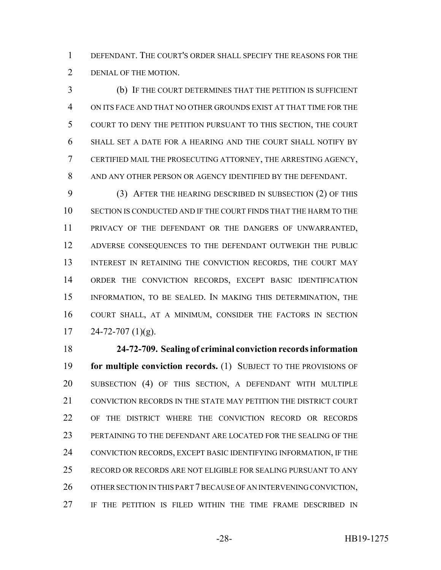DEFENDANT. THE COURT'S ORDER SHALL SPECIFY THE REASONS FOR THE DENIAL OF THE MOTION.

 (b) IF THE COURT DETERMINES THAT THE PETITION IS SUFFICIENT ON ITS FACE AND THAT NO OTHER GROUNDS EXIST AT THAT TIME FOR THE COURT TO DENY THE PETITION PURSUANT TO THIS SECTION, THE COURT SHALL SET A DATE FOR A HEARING AND THE COURT SHALL NOTIFY BY CERTIFIED MAIL THE PROSECUTING ATTORNEY, THE ARRESTING AGENCY, AND ANY OTHER PERSON OR AGENCY IDENTIFIED BY THE DEFENDANT.

 (3) AFTER THE HEARING DESCRIBED IN SUBSECTION (2) OF THIS SECTION IS CONDUCTED AND IF THE COURT FINDS THAT THE HARM TO THE PRIVACY OF THE DEFENDANT OR THE DANGERS OF UNWARRANTED, ADVERSE CONSEQUENCES TO THE DEFENDANT OUTWEIGH THE PUBLIC 13 INTEREST IN RETAINING THE CONVICTION RECORDS, THE COURT MAY ORDER THE CONVICTION RECORDS, EXCEPT BASIC IDENTIFICATION INFORMATION, TO BE SEALED. IN MAKING THIS DETERMINATION, THE COURT SHALL, AT A MINIMUM, CONSIDER THE FACTORS IN SECTION  $17 \qquad 24-72-707 \; (1)(g).$ 

 **24-72-709. Sealing of criminal conviction records information for multiple conviction records.** (1) SUBJECT TO THE PROVISIONS OF SUBSECTION (4) OF THIS SECTION, A DEFENDANT WITH MULTIPLE CONVICTION RECORDS IN THE STATE MAY PETITION THE DISTRICT COURT OF THE DISTRICT WHERE THE CONVICTION RECORD OR RECORDS PERTAINING TO THE DEFENDANT ARE LOCATED FOR THE SEALING OF THE 24 CONVICTION RECORDS, EXCEPT BASIC IDENTIFYING INFORMATION, IF THE RECORD OR RECORDS ARE NOT ELIGIBLE FOR SEALING PURSUANT TO ANY 26 OTHER SECTION IN THIS PART 7 BECAUSE OF AN INTERVENING CONVICTION, IF THE PETITION IS FILED WITHIN THE TIME FRAME DESCRIBED IN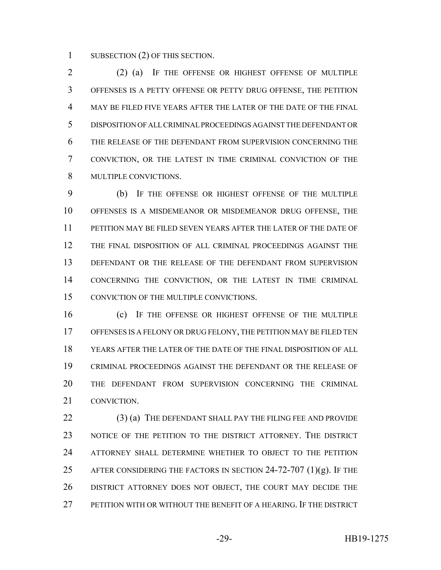1 SUBSECTION (2) OF THIS SECTION.

 (2) (a) IF THE OFFENSE OR HIGHEST OFFENSE OF MULTIPLE OFFENSES IS A PETTY OFFENSE OR PETTY DRUG OFFENSE, THE PETITION MAY BE FILED FIVE YEARS AFTER THE LATER OF THE DATE OF THE FINAL DISPOSITION OF ALL CRIMINAL PROCEEDINGS AGAINST THE DEFENDANT OR THE RELEASE OF THE DEFENDANT FROM SUPERVISION CONCERNING THE CONVICTION, OR THE LATEST IN TIME CRIMINAL CONVICTION OF THE MULTIPLE CONVICTIONS.

 (b) IF THE OFFENSE OR HIGHEST OFFENSE OF THE MULTIPLE OFFENSES IS A MISDEMEANOR OR MISDEMEANOR DRUG OFFENSE, THE PETITION MAY BE FILED SEVEN YEARS AFTER THE LATER OF THE DATE OF THE FINAL DISPOSITION OF ALL CRIMINAL PROCEEDINGS AGAINST THE 13 DEFENDANT OR THE RELEASE OF THE DEFENDANT FROM SUPERVISION CONCERNING THE CONVICTION, OR THE LATEST IN TIME CRIMINAL CONVICTION OF THE MULTIPLE CONVICTIONS.

 (c) IF THE OFFENSE OR HIGHEST OFFENSE OF THE MULTIPLE OFFENSES IS A FELONY OR DRUG FELONY, THE PETITION MAY BE FILED TEN YEARS AFTER THE LATER OF THE DATE OF THE FINAL DISPOSITION OF ALL CRIMINAL PROCEEDINGS AGAINST THE DEFENDANT OR THE RELEASE OF THE DEFENDANT FROM SUPERVISION CONCERNING THE CRIMINAL CONVICTION.

22 (3) (a) THE DEFENDANT SHALL PAY THE FILING FEE AND PROVIDE NOTICE OF THE PETITION TO THE DISTRICT ATTORNEY. THE DISTRICT ATTORNEY SHALL DETERMINE WHETHER TO OBJECT TO THE PETITION 25 AFTER CONSIDERING THE FACTORS IN SECTION 24-72-707  $(1)(g)$ . If the DISTRICT ATTORNEY DOES NOT OBJECT, THE COURT MAY DECIDE THE PETITION WITH OR WITHOUT THE BENEFIT OF A HEARING. IF THE DISTRICT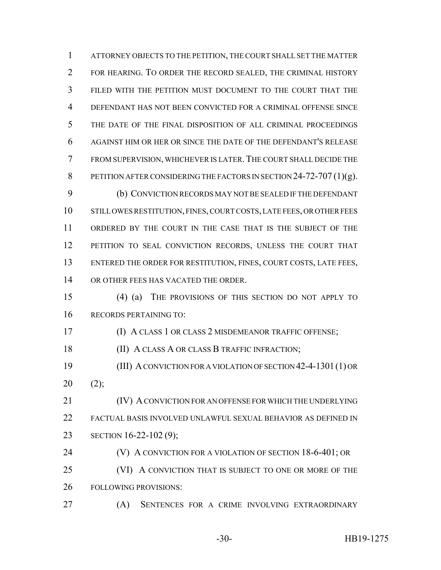ATTORNEY OBJECTS TO THE PETITION, THE COURT SHALL SET THE MATTER FOR HEARING. TO ORDER THE RECORD SEALED, THE CRIMINAL HISTORY FILED WITH THE PETITION MUST DOCUMENT TO THE COURT THAT THE DEFENDANT HAS NOT BEEN CONVICTED FOR A CRIMINAL OFFENSE SINCE THE DATE OF THE FINAL DISPOSITION OF ALL CRIMINAL PROCEEDINGS AGAINST HIM OR HER OR SINCE THE DATE OF THE DEFENDANT'S RELEASE FROM SUPERVISION, WHICHEVER IS LATER.THE COURT SHALL DECIDE THE 8 PETITION AFTER CONSIDERING THE FACTORS IN SECTION 24-72-707 (1)(g).

 (b) CONVICTION RECORDS MAY NOT BE SEALED IF THE DEFENDANT STILL OWES RESTITUTION, FINES, COURT COSTS, LATE FEES, OR OTHER FEES ORDERED BY THE COURT IN THE CASE THAT IS THE SUBJECT OF THE PETITION TO SEAL CONVICTION RECORDS, UNLESS THE COURT THAT ENTERED THE ORDER FOR RESTITUTION, FINES, COURT COSTS, LATE FEES, OR OTHER FEES HAS VACATED THE ORDER.

 (4) (a) THE PROVISIONS OF THIS SECTION DO NOT APPLY TO RECORDS PERTAINING TO:

(I) A CLASS 1 OR CLASS 2 MISDEMEANOR TRAFFIC OFFENSE;

18 (II) A CLASS A OR CLASS B TRAFFIC INFRACTION;

 (III) A CONVICTION FOR A VIOLATION OF SECTION 42-4-1301(1) OR (2);

**IV) A CONVICTION FOR AN OFFENSE FOR WHICH THE UNDERLYING**  FACTUAL BASIS INVOLVED UNLAWFUL SEXUAL BEHAVIOR AS DEFINED IN SECTION 16-22-102 (9);

**(V)** A CONVICTION FOR A VIOLATION OF SECTION 18-6-401; OR

25 (VI) A CONVICTION THAT IS SUBJECT TO ONE OR MORE OF THE FOLLOWING PROVISIONS:

(A) SENTENCES FOR A CRIME INVOLVING EXTRAORDINARY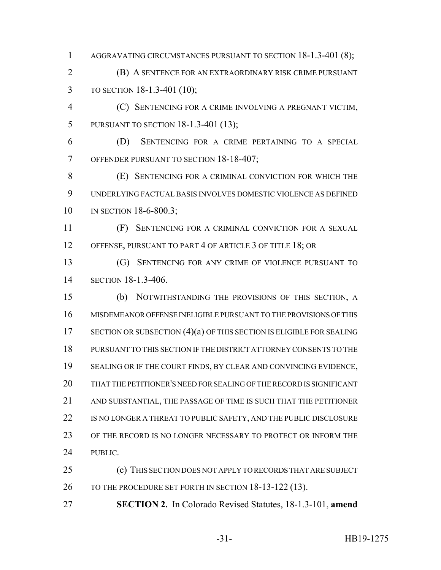1 AGGRAVATING CIRCUMSTANCES PURSUANT TO SECTION 18-1.3-401 (8);

 (B) A SENTENCE FOR AN EXTRAORDINARY RISK CRIME PURSUANT TO SECTION 18-1.3-401 (10);

 (C) SENTENCING FOR A CRIME INVOLVING A PREGNANT VICTIM, PURSUANT TO SECTION 18-1.3-401 (13);

 (D) SENTENCING FOR A CRIME PERTAINING TO A SPECIAL OFFENDER PURSUANT TO SECTION 18-18-407;

 (E) SENTENCING FOR A CRIMINAL CONVICTION FOR WHICH THE UNDERLYING FACTUAL BASIS INVOLVES DOMESTIC VIOLENCE AS DEFINED 10 IN SECTION 18-6-800.3;

 (F) SENTENCING FOR A CRIMINAL CONVICTION FOR A SEXUAL 12 OFFENSE, PURSUANT TO PART 4 OF ARTICLE 3 OF TITLE 18; OR

 (G) SENTENCING FOR ANY CRIME OF VIOLENCE PURSUANT TO SECTION 18-1.3-406.

 (b) NOTWITHSTANDING THE PROVISIONS OF THIS SECTION, A MISDEMEANOR OFFENSE INELIGIBLE PURSUANT TO THE PROVISIONS OF THIS 17 SECTION OR SUBSECTION (4)(a) OF THIS SECTION IS ELIGIBLE FOR SEALING PURSUANT TO THIS SECTION IF THE DISTRICT ATTORNEY CONSENTS TO THE 19 SEALING OR IF THE COURT FINDS, BY CLEAR AND CONVINCING EVIDENCE, THAT THE PETITIONER'S NEED FOR SEALING OF THE RECORD IS SIGNIFICANT AND SUBSTANTIAL, THE PASSAGE OF TIME IS SUCH THAT THE PETITIONER 22 IS NO LONGER A THREAT TO PUBLIC SAFETY, AND THE PUBLIC DISCLOSURE OF THE RECORD IS NO LONGER NECESSARY TO PROTECT OR INFORM THE PUBLIC.

 (c) THIS SECTION DOES NOT APPLY TO RECORDS THAT ARE SUBJECT 26 TO THE PROCEDURE SET FORTH IN SECTION 18-13-122 (13).

**SECTION 2.** In Colorado Revised Statutes, 18-1.3-101, **amend**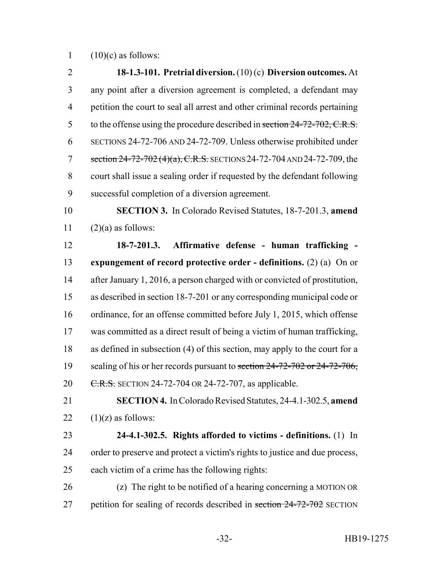(10)(c) as follows:

 **18-1.3-101. Pretrial diversion.** (10) (c) **Diversion outcomes.** At any point after a diversion agreement is completed, a defendant may petition the court to seal all arrest and other criminal records pertaining 5 to the offense using the procedure described in section 24-72-702, C.R.S. SECTIONS 24-72-706 AND 24-72-709. Unless otherwise prohibited under 7 section 24-72-702 (4)(a), C.R.S. SECTIONS 24-72-704 AND 24-72-709, the court shall issue a sealing order if requested by the defendant following successful completion of a diversion agreement. **SECTION 3.** In Colorado Revised Statutes, 18-7-201.3, **amend**  $(2)(a)$  as follows: **18-7-201.3. Affirmative defense - human trafficking - expungement of record protective order - definitions.** (2) (a) On or after January 1, 2016, a person charged with or convicted of prostitution, as described in section 18-7-201 or any corresponding municipal code or ordinance, for an offense committed before July 1, 2015, which offense was committed as a direct result of being a victim of human trafficking, as defined in subsection (4) of this section, may apply to the court for a 19 sealing of his or her records pursuant to section 24-72-702 or 24-72-706, 20 C.R.S. SECTION 24-72-704 OR 24-72-707, as applicable. **SECTION 4.** In Colorado Revised Statutes, 24-4.1-302.5, **amend**  $(1)(z)$  as follows: **24-4.1-302.5. Rights afforded to victims - definitions.** (1) In order to preserve and protect a victim's rights to justice and due process, each victim of a crime has the following rights: (z) The right to be notified of a hearing concerning a MOTION OR 27 petition for sealing of records described in section 24-72-702 SECTION